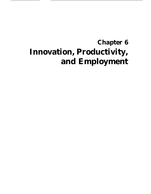# **Chapter 6 Innovation, Productivity, and Employment**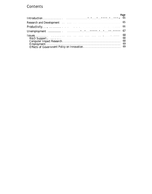## **Contents**

|                                                                                                                                                                                                                                | Page |
|--------------------------------------------------------------------------------------------------------------------------------------------------------------------------------------------------------------------------------|------|
|                                                                                                                                                                                                                                |      |
| Research and Development (1) 1999 (1) 1999 (1) 1999 (1) 1999 (1) 1999 (1) 1999 (1) 1999 (1) 1999 (1) 1999 (1) 1999 (1) 1999 (1) 1999 (1) 1999 (1) 1999 (1) 1999 (1) 1999 (1) 1999 (1) 1999 (1) 1999 (1) 1999 (1) 1999 (1) 1999 |      |
|                                                                                                                                                                                                                                |      |
|                                                                                                                                                                                                                                |      |
|                                                                                                                                                                                                                                |      |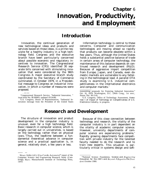## **Chapter** 6 **Innovation, Productivity, and Employment**

## **Introduction**

Innovation, the continual generation of new technological ideas and products and services based on those ideas, is a prime requisite for a healthy industry in a high technology field. Congress and the executive branch have been particularly concerned about possible economic and regulatory incentives to innovation. The Congressional Research Service (CRS) identified 30 separate bills concerned with stimulating innovation that were considered by the 96th Congress.<sup>'</sup>A major executive branch study coordinated by the Secretary of Commerce culminated, in October 1979, in a Presidential message to Congress on industrial innovation, in which a number of measures were proposed. '

Information technology is central to these concerns. Computer and communication technologies are moving ahead so rapidly that products can become obsolete within a few years. Thus, although the United States holds a substantial positive balance of trade in certain areas of computer technology, the maintenance of this balance depends on continued research and development (R&D). Because of aggressive import competition from Europe, Japan, and Canada, even domestic markets are vulnerable to any faltering in the technological lead. A parallel OTA study is examining U.S. industrial competitiveness in the international electronics and computer markets.<sup>3</sup>

## **Research and Development**

The structure of innovation and product development in the computer industry is unusual, even for a high technology field. Basic research in computer science, which is largely carried out in universities, is based on the technology rather than on physical laws.<sup>4</sup>Thus, the leadtime between a fundamental theoretical advance in computer science and a practical application is, in general, relatively short, a few years or less.

——— —

Because of this close connection between technology and research, the vitality of the computer industry is in part dependent on the vitality of academic computer science. However, university departments of computer science are experiencing problems.<sup>5</sup> Rapidly growing departments face competition with private industry for the talented faculty needed to do the research and to train new experts. This situation is particularly critical in systems design and soft-

 $\frac{1}{100}$ Congressional Research Service, "Industrial Innovation, " issue brief No. IB 80005; updated 10/24/80.

<sup>2</sup>U.S. Congress, House of Representatives, "Industrial Innovation message from the President of the United States

transmitting proposals for Fostering Industrial Innovation," Oct. 31, 1979, Washington, D.C. (96th Cong., 1st sess., House, Dec. 96-214).

<sup>&#</sup>x27;U.S. Congress, Office of Technology Assessment, *Asessmen t of Impact of Technology on Competitiveness of U.S. Electronics Industry,* in progress.

<sup>&#</sup>x27;Bruce Arden (cd.), *Il"hat (Tun Be Autc)rnuted?* report of the Computer Science and Engineering Research Study (Cambridge, hlass.: Massachusetts Institute of Technology Press, 1980).

<sup>&</sup>quot;National Science Foundation, *Science and Engineering Education for the 1980's and Beyond: A Report to the Presi-(ien t.* October 1980.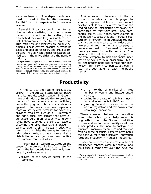ware engineering. The departments also need to invest in the facilities necessary for R&D and in experimental\* computer science.

Several U.S. corporations in the information industry, realizing that their success depends on continued innovation, have established their own large research centers. Bell Laboratories in the United States and IBM both here and overseas are notable examples. These centers produce outstanding basic and applied research, and are also important links between the basic research carried out in the universities and the needs of industry.

\*Experimental computer science tries to develop new concepts of computer architecture and programing by working directly with the machines rather than through theoretical analysis. Many vital areas of computer science cannot yet be addressed through theory. They are approached through the experience of developing programs to do particular tasks.

Another aspect of innovation in the information industry is the role played by small entrepreneurial firms in new product development. Many specialized areas at the leading edge of information technology are dominated by relatively small new companies (see ch. 14). Indeed, some experts in the industry suggest that one important pattern for innovation in information technology involves an entrepreneur who develops a new product and then forms a company to produce and sell it. If successful, the new company's need for capital expands. Frequently in the last decade, the only choice for the small company to meet this capital need was to be acquired by a larger firm. This is still the predominant goal of most high technology, high growth companies, although a few have been able to reach the public market.

## **Productivity**

In the 1970's, the rate of productivity growth in the United States fell far below historical trends, causing concern in Government and industry. In addition to providing the basis for an increased standard of living, productivity growth is a major defense against inflationary pressures, especially those caused by cost increases for externally provided resources such as oil. (Electronics and agriculture, two sectors that have experienced very high productivity growth rates, have supplied the principal exports offsetting the large international trade imbalance due to oil imports.) Productivity growth also provides the leeway to meet certain societal goals, such as a more equitable distribution of basic goods and services like food, medical care, and education.

Although not all economists agree on the causes of the productivity lag, four main factors in the last decade have commonly been noted by various experts:

• growth of the service sector of the economy,

- entry into the job market of a large number of young and inexperienced workers,
- decline in the rate of technical innovation and investments in R&D, and
- growing Federal intervention in the form of regulation and tax policies that discourage innovation.

There is reason to believe that innovation in computer technology can help productivity growth in the United States. In addition to lower cost and/or better quality retail consumer products, the new technology also generates improved techniques and tools for making those products. Experts have noted the positive correlation between innovation rates and productivity in several industries.<sup>6</sup>

Based on anticipated advances in artificial intelligence, robotics, computer control, and input-output technology over the next few

<sup>&#</sup>x27;Edwin Mansfield! "Research and Development, Productivity, and Inflation, " Science, vol. 209, Sept. 5, 1980, pp. 1,091-1,093.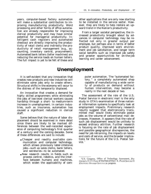years, computer-based factory automation will make a substantial contribution to improving manufacturing productivity. Word processing and other forms of office automation are already responsible for improving clerical productivity and may have similar potential for managerial productivity. Intelligent cash registers and automated checkout are directly improving the productivity of retail clerks and indirectly the productivity of retail management (e.g., accounting, inventory control, procurement). Automated bank tellers (teller machines) are reducing the service loads on human tellers. The full impact is yet to be felt of these and other applications that are only now starting to be installed in the service sector. However, they are likely to help restore an upward trend in the Nation's productivity.

From a larger societal perspective, the increased productivity brought about by advances in computer technology may be reflected not only in greater output per employee, but perhaps also in terms of better product quality, improved work environment and job satisfaction, and longer term social benefits such as improved job safety and greater opportunities for on-the-job learning and career advancement.

#### **Unemployment**

It is self-evident that any innovation that creates new products and new industries will eliminate some jobs only to create others. Structural shifts in the economy will occur to the distress of the temporarily displaced.

An innovation that creates a demand for highly skilled programmers while eliminating the jobs of low-level clerical workers causes hardship through a short- to medium-term increase in unemployment. In certain industries, such as insurance, automation has caused a significant reduction in clerical staff.

Some believe that the nature of labor displacement should be examined in more detail since there are likely to be marked differences between the well-recorded experience of computing technology's first quarter of a century and the coming decades. Some of these differences are said to include:

- *Cheaper and readily available communication and computer technology,* which allows previously labor-intensive jobs—such as sales clerks, bank tellers, and secretaries—to be automated.
- *New research results* in fields such as process control, robotics, and the interface between humans and machines, which widen the applicability of com-

puter automation. The "automated factory, " a completely automated shop capable of manufacturing a wide variety of products on demand without human intervention, may become a reality in the next decade or two.

The assessment of the role of the U.S. Postal Service in electronic mail is the only study in OTA's examination of three national information systems to specifically look at employment impacts. Preliminary research results suggest that electronically transmitted mail would likely eliminate postal jobs as the volume of conventional mail decreases. However, it appears that the rate of such job displacement would be unlikely to exceed ordinary attrition. Further research is focusing on the rate of job displacement and possible geographical discrepancies, the need for job retraining, the impacts on levels and costs of service, and the broader implications for the future of the U.S. Postal Service.

<sup>&#</sup>x27;U.S. Congress, Office of Technology Assessment, *Preliminary Assessment of the Role of the ['. S. Postal Service in*  $Electronic Message Services, in progress.$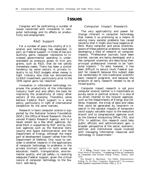## **Issues**

Congress will be confronting a number of issues concerned with innovation in computer technology and its effects on productivity and employment.

#### R&D Support

For a number of years the vitality of U.S. science and technology has depended, in part, on Federal support. In times of low productivity gains, taxpayer resistance to increased governmental spending is understandable as pressure grows to trim programs, such as R&D, that do not satisfy immediate needs. There has been a similar tendency by some sectors in private industry to cut R&D budgets when money is tight. Industry also cites tax disincentives to R&D investment, particularly prior to the 1978 capital gains tax reduction.

Innovation in information technology improves the productivity of the information industry itself and also offers the tools for improving the productivity of many other sectors of the economy. Therefore, some believe Federal R&D support is a wise policy, particularly in light of international competition for the same markets.

Research in basic computer science is supported by the National Science Foundation (NSF), the Office of Naval Research, the Advanced Projects Research Agency, and to a lesser extent by a few other agencies. Applied R&D is supported by NSF and by mission agencies such as the National Aeronautics and Space Administration and the Department of Energy, although the major part of development support comes from the Department of Defense. One issue to consider is whether research in the applications of computer technology to problems in the private (civilian) sector—in such areas as education, health, transportation, environmental quality, and job safety—is receiving adequate Federal support, given the critical nature of computer technology to the Nation's well-being.

#### Computer Impact Research

The very applicability and power for change inherent in computer technology that makes it so promising as a means of solving many societal problems has raised concerns that it might also have negative effects. Many computer and social scientists, aware of these potential problems, have been developing a field of research on computer impacts. <sup>a</sup>Professional journals have been started, courses are being developed, and a few computer scientists are describing their principal professional interest to be "computer impacts. " To date, however, it has been difficult to secure much Federal support for research because this subject does not comfortably fit into traditional scientific basic research programs, and because the products of early research tended to be of mixed quality.

Computer impact research is not pure computer science; neither is it classifiable as purely social or political science. It is also of no direct interest to the mission agencies, such as the Departments of Energy and Defense. However, the kinds of data and ideas that could be generated by long-term research in the societal impacts of computers could supply valuable input to the executive branch and to congressional agencies such as the General Accounting Office, CRS, and OTA. In addition, this research could help public officials and administrators gain a broader perspective of the social, economic, political, and institutional issues involved with managing information resources and technology in Government.<sup>9</sup>

<sup>&#</sup>x27;R. L. Kling, "Social Issues and Impacts of Computing: From Arena to Discipline," Proceedings of the 2d Conference *on Computers and Human Choice,* Vienna, Austria, June 1979.

<sup>&#</sup>x27;See Donald A. Marchand, "Are Public Administrators Failing To Do Their Computer Homework?" Governmen *Data Systems,* September/October 1980, p. 22 ff.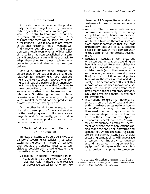#### Employment

 $=$ 

It is still uncertain whether the productivity increases brought about by computer technology will create or eliminate jobs. It would be helpful to know more about the long-term effects of automation. It is assumed that there will be some local structural impacts. Even if new jobs are created or old ones redefined, not all workers will find it easy or desirable to shift. This dislocation could result even when an official policy of no job loss has been established by a company, if employees are unwilling or unable to adapt themselves to the new technology or prove to be untrainable in the new procedures.

One OTA advisory panel member observed that, in periods of high demand and relatively full employment, labor displacement is unlikely to occur; however, when trying to pull out of a period of high unemployment there is greater incentive for firms to make productivity gains by investing in automation rather than increasing their labor force. Substituting machines for labor is easier when it can be done by not hiring when market demand for the product increases rather than having to fire.

On the other hand, it can be argued that the rising consumption of goods and services by the developing world will create a very large demand. Consequently, gains would be turned into increased production rather than decreased labor input.

#### Effects of Government Policy on Innovation

Innovation seems to be very sensitive to a variety of governmental policies. Thus, when exploring the potential impacts of new laws and regulations, Congress needs to be sensitive to possible unintended effects on the innovative process. For example:

● *Taxation..* Industrial investment in innovation is very sensitive to tax policies, particularly those that encourage or discourage capital formation for new

firms, for R&D expenditures, and for investments in new processes and equipment.

- *Antitrust:* The purpose of antitrust enforcement is presumably to encourage competition and, hence, innovation. Some experts hold, however, that major antitrust actions or threats of such actions against companies that are large principally because of a successful record of innovation may dampen their enthusiasm for further product development.
- *Regulation:* Regulation can encourage or discourage innovation depending on how it is applied. Regulators either try to direct innovation toward particular societal needs (as in the cases of automotive safety or environmental protection), or to control it for social protection (as in the cases of food and drug safety). The second order effects of this innovation can dampen innovation elsewhere as industrial investment must first respond to the regulatory demand. Only the remaining capital is available for investment.
- *International controls:* Multinational restrictions on the flow of data and computing hardware across national boundaries affect the design of communication-based information systems, and to some extent shape the nature of competition in the international marketplace.
- *Standards:* Federal standards, \* voluntary or mandatory, directed at Government or private sector applications can also shape the nature of innovation and competition. On the one hand, for example, some argue that standards for data processing compatibility will encourage a competitive industry to develop around so-called "plug-compatible equipment" (independently manufactured devices that plug into computers

 $*_{\text{For a detailed discussion of standards, see app.}}$  (' to U.S. Congress, Office of Technology Assessment, Telecommunica*tion Technology and Public Policy*, in press.